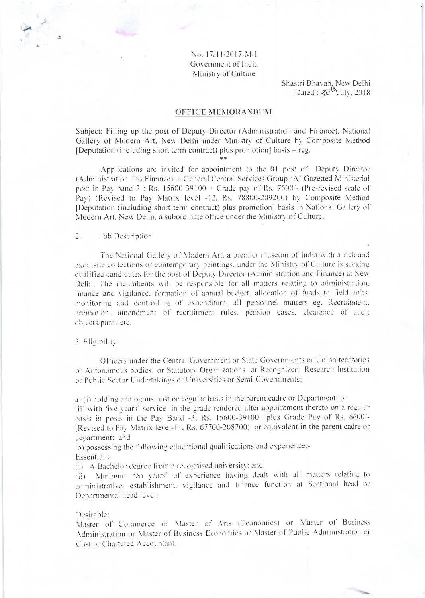No. 17/11/2017-M-L Government of India Ministry of Culture

> Shastri Bhavan, New Delhi Dated:  $20^{th}$ July, 2018

### **OFFICE MEMORANDUM**

Subject: Filling up the post of Deputy Director (Administration and Finance), National Gallery of Modern Art. New Delhi under Ministry of Culture by Composite Method [Deputation (including short term contract) plus promotion] basis – reg.

Applications are invited for appointment to the 01 post of Deputy Director (Administration and Finance), a General Central Services Group 'A' Gazetted Ministerial post in Pay band  $3:$  Rs.  $15600-39100 +$  Grade pay of Rs. 7600/- (Pre-revised scale of Pav) (Revised to Pav Matrix level -12, Rs. 78800-209200) by Composite Method [Deputation (including short term contract) plus promotion] basis in National Gallery of Modern Art, New Delhi, a subordinate office under the Ministry of Culture.

#### $\overline{2}$ Job Description

The National Gallery of Modern Art, a premier museum of India with a rich and exquisite collections of contemporary paintings, under the Ministry of Culture is seeking qualified candidates for the post of Deputy Director (Administration and Finance) at New Delhi. The incumbents will be responsible for all matters relating to administration, finance and vigilance, formation of annual budget, allocation of funds to field units. monitoring and controlling of expenditure, all personnel matters eg. Recruitment, promotion, amendment of recruitment rules, pension cases, clearance of audit objects/paras etc.

#### 3. Eligibility

Officers under the Central Government or State Governments or Union territories or Autonomous bodies or Statutory Organizations or Recognized Research Institution or Public Sector Undertakings or Universities or Semi-Governments:-

a) (i) holding analogous post on regular basis in the parent cadre or Department; or

(ii) with five years' service in the grade rendered after appointment thereto on a regular basis in posts in the Pay Band -3, Rs. 15600-39100 plus Grade Pay of Rs. 6600/-(Revised to Pay Matrix level-11, Rs. 67700-208700) or equivalent in the parent cadre or department; and

b) possessing the following educational qualifications and experience:-

Essential:

(i) A Bachelor degree from a recognised university: and

(ii) Minimum ten years' of experience having dealt with all matters relating to administrative, establishment, vigilance and finance function at Sectional head or Departmental head level.

#### Desirable:

Master of Commerce or Master of Arts (Economics) or Master of Business Administration or Master of Business Economics or Master of Public Administration or Cost or Chartered Accountant.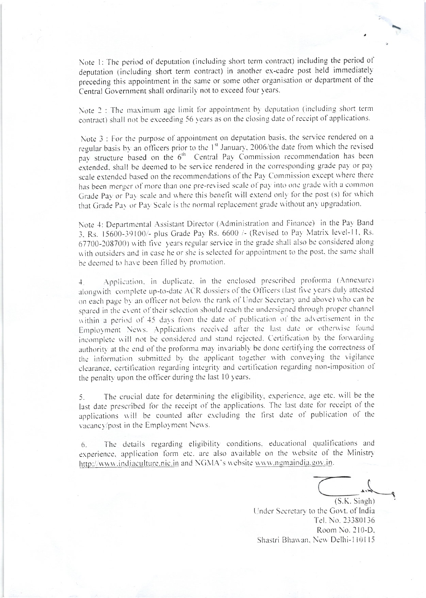Note 1: The period of deputation (including short term contract) including the period of deputation (including short term contract) in another ex-cadre post held immediately preceding this appointment in the same or some other organisation or department of the Central Government shall ordinarily not to exceed four years.

Note 2 : The maximum age limit for appointment by deputation (including short term contract) shall not be exceeding 56 years as on the closing date of receipt of applications.

Note 3 : For the purpose of appointment on deputation basis, the service rendered on a regular basis by an officers prior to the 1<sup>st</sup> January, 2006/the date from which the revised pay structure based on the 6<sup>th</sup> Central Pay Commission recommendation has been extended, shall be deemed to be service rendered in the corresponding grade pay or pay scale extended based on the recommendations of the Pay Commission except where there has been merger of more than one pre-revised scale of pay into one grade with a common Grade Pay or Pay scale and where this benefit will extend only for the post (s) for which that Grade Pay or Pay Scale is the normal replacement grade without any upgradation.

Note 4: Departmental Assistant Director (Administration and Finance) in the Pay Band 3. Rs. 15600-39100/- plus Grade Pay Rs. 6600 /- (Revised to Pay Matrix level-11, Rs. 67700-208700) with five years regular service in the grade shall also be considered along. with outsiders and in case he or she is selected for appointment to the post, the same shall be deemed to have been filled by promotion.

Application, in duplicate, in the enclosed prescribed proforma (Annexure)  $\ddot{+}$ . alongwith complete up-to-date ACR dossiers of the Officers (last five years duly attested on each page by an officer not below the rank of Under Secretary and above) who can be spared in the event of their selection should reach the undersigned through proper channel. within a period of 45 days from the date of publication of the advertisement in the Employment News. Applications received after the last date or otherwise found incomplete will not be considered and stand rejected. Certification by the forwarding authority at the end of the proforma may invariably be done certifying the correctness of the information submitted by the applicant together with conveying the vigilance clearance, certification regarding integrity and certification regarding non-imposition of the penalty upon the officer during the last 10 years.

The crucial date for determining the eligibility, experience, age etc. will be the 5. last date prescribed for the receipt of the applications. The last date for receipt of the applications will be counted after excluding the first date of publication of the vacancy/post in the Employment News.

The details regarding eligibility conditions, educational qualifications and 6. experience, application form etc. are also available on the website of the Ministry http://www.indiaculture.nic.in and NGMA's website www.ngmaindia.gov.in.

 $(S.K.$  Singh)

Under Secretary to the Govt. of India Tel. No. 23380136 Room No. 210-D. Shastri Bhawan, New Delhi-110115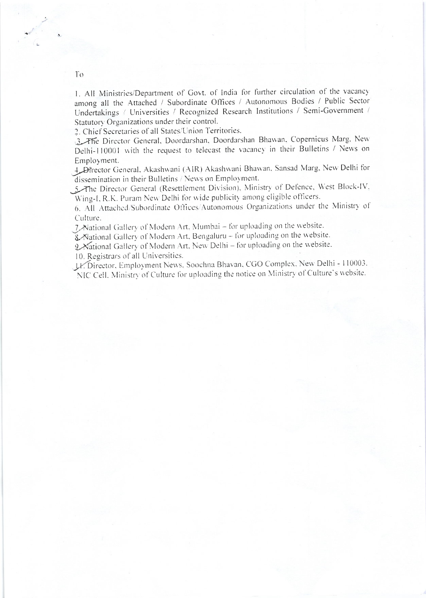1. All Ministries/Department of Govt. of India for further circulation of the vacancy among all the Attached / Subordinate Offices / Autonomous Bodies / Public Sector Undertakings / Universities / Recognized Research Institutions / Semi-Government / Statutory Organizations under their control.

2. Chief Secretaries of all States/Union Territories.

3 The Director General, Doordarshan, Doordarshan Bhawan, Copernicus Marg, New Delhi-110001 with the request to telecast the vacancy in their Bulletins / News on Employment.

4 Director General, Akashwani (AIR) Akashwani Bhawan, Sansad Marg, New Delhi for dissemination in their Bulletins / News on Employment.

The Director General (Resettlement Division), Ministry of Defence, West Block-IV, Wing-I, R.K. Puram New Delhi for wide publicity among eligible officers.

6. All Attached/Subordinate Offices/Autonomous Organizations under the Ministry of Culture.

7 National Gallery of Modern Art, Mumbai - for uploading on the website.

& National Gallery of Modern Art, Bengaluru - for uploading on the website.

2 National Gallery of Modern Art, New Delhi - for uploading on the website.

10. Registrars of all Universities.

X. Director, Employment News, Soochna Bhavan, CGO Complex, New Delhi - 110003. NIC Cell, Ministry of Culture for uploading the notice on Ministry of Culture's website.

To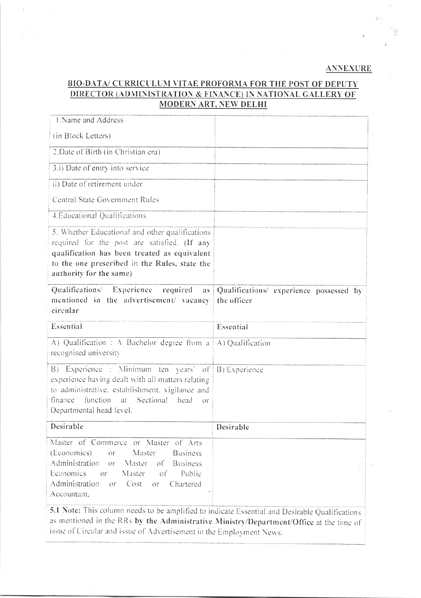## **ANNEXURE**

# **BIO-DATA/ CURRICULUM VITAE PROFORMA FOR THE POST OF DEPUTY** DIRECTOR (ADMINISTRATION & FINANCE) IN NATIONAL GALLERY OF **MODERN ART, NEW DELHI**

| 1. Name and Address                                                                                                                                                                                                                                                                                 |                                                        |
|-----------------------------------------------------------------------------------------------------------------------------------------------------------------------------------------------------------------------------------------------------------------------------------------------------|--------------------------------------------------------|
| (in Block Letters)                                                                                                                                                                                                                                                                                  |                                                        |
| 2. Date of Birth (in Christian era)                                                                                                                                                                                                                                                                 |                                                        |
| 3.i) Date of entry into service                                                                                                                                                                                                                                                                     |                                                        |
| ii) Date of retirement under                                                                                                                                                                                                                                                                        |                                                        |
| Central/State Government Rules                                                                                                                                                                                                                                                                      |                                                        |
| 4. Educational Qualifications                                                                                                                                                                                                                                                                       |                                                        |
| 5. Whether Educational and other qualifications<br>required for the post are satisfied. (If any<br>qualification has been treated as equivalent<br>to the one prescribed in the Rules, state the<br>authority for the same)                                                                         |                                                        |
| Qualifications/ Experience<br>required<br>as:<br>mentioned in the advertisement/ vacancy<br>circular                                                                                                                                                                                                | Qualifications/ experience possessed by<br>the officer |
| Essential                                                                                                                                                                                                                                                                                           | Essential                                              |
| A) Qualification : A Bachelor degree from a<br>recognised university                                                                                                                                                                                                                                | A) Qualification                                       |
| Experience : Minimum ten years' of<br>B)<br>experience having dealt with all matters relating<br>to administrative, establishment, vigilance and<br>function<br>at<br>Sectional<br>finance.<br>head<br>$O\Gamma$<br>Departmental head level.                                                        | B) Experience                                          |
| Desirable                                                                                                                                                                                                                                                                                           | Desirable                                              |
| Master of Commerce or Master<br>of Arts<br>(Economics)<br>Master<br><b>Business</b><br>Ōľ<br>Administration<br>Master<br>оfі<br><b>Business</b><br>or<br>Economics<br>Master<br>Public<br>$Ol$ <sup><math>\sim</math></sup><br>οť<br>Administration<br>Cost<br>Chartered<br>or<br>or<br>Accountant. |                                                        |
| 5.1 Note: This column needs to be amplified to indicate Essential and Desirable Qualifications                                                                                                                                                                                                      |                                                        |

as mentioned in the RRs by the Administrative Ministry/Department/Office at the time of issue of Circular and issue of Advertisement in the Employment News.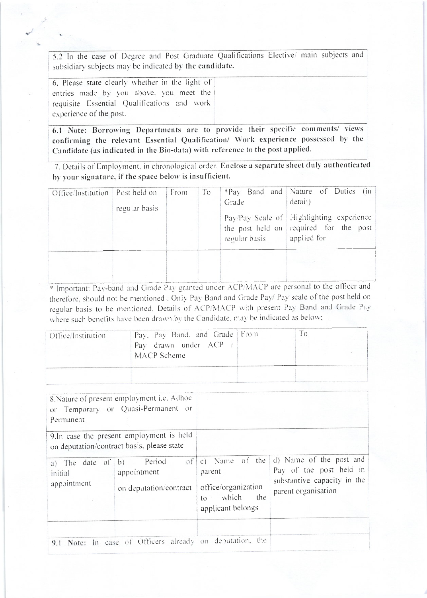5.2 In the case of Degree and Post Graduate Qualifications Elective/ main subjects and subsidiary subjects may be indicated by the candidate.

6. Please state clearly whether in the light of entries made by you above, you meet the requisite Essential Qualifications and work experience of the post.

6.1 Note: Borrowing Departments are to provide their specific comments/ views confirming the relevant Essential Qualification/ Work experience possessed by the Candidate (as indicated in the Bio-data) with reference to the post applied.

7. Details of Employment, in chronological order. Enclose a separate sheet duly authenticated by your signature, if the space below is insufficient.

| Office/Institution   Post held on | regular basis | From | To | Grade<br>regular basis | *Pay Band and Nature of Duties (in<br>detail)<br>Pay/Pay Scale of Highlighting experience<br>the post held on required for the post<br>applied for |
|-----------------------------------|---------------|------|----|------------------------|----------------------------------------------------------------------------------------------------------------------------------------------------|
|                                   |               |      |    |                        |                                                                                                                                                    |

\* Important: Pay-band and Grade Pay granted under ACP/MACP are personal to the officer and therefore, should not be mentioned. Only Pay Band and Grade Pay/ Pay scale of the post held on regular basis to be mentioned. Details of ACP/MACP with present Pay Band and Grade Pay where such benefits have been drawn by the Candidate, may be indicated as below;

| Office/Institution | Pay, Pay Band, and Grade From<br>Pay drawn under ACP<br>MACP Scheme |  |
|--------------------|---------------------------------------------------------------------|--|
|                    |                                                                     |  |

| Permanent                                                                               | 8. Nature of present employment i.e. Adhoc<br>or Temporary or Quasi-Permanent or |                                                                                                      |                                                                                                          |
|-----------------------------------------------------------------------------------------|----------------------------------------------------------------------------------|------------------------------------------------------------------------------------------------------|----------------------------------------------------------------------------------------------------------|
| 9. In case the present employment is held<br>on deputation/contract basis, please state |                                                                                  |                                                                                                      |                                                                                                          |
| a) The date of b) Period<br>initial<br>appointment                                      | of<br>appointment<br>on deputation/contract                                      | $ c $ Name of the<br>parent<br>office/organization<br>which<br>the<br>$\rm{to}$<br>applicant belongs | d) Name of the post and<br>Pay of the post held in<br>substantive capacity in the<br>parent organisation |
|                                                                                         | 9.1 Note: In case of Officers already on deputation, the                         |                                                                                                      |                                                                                                          |